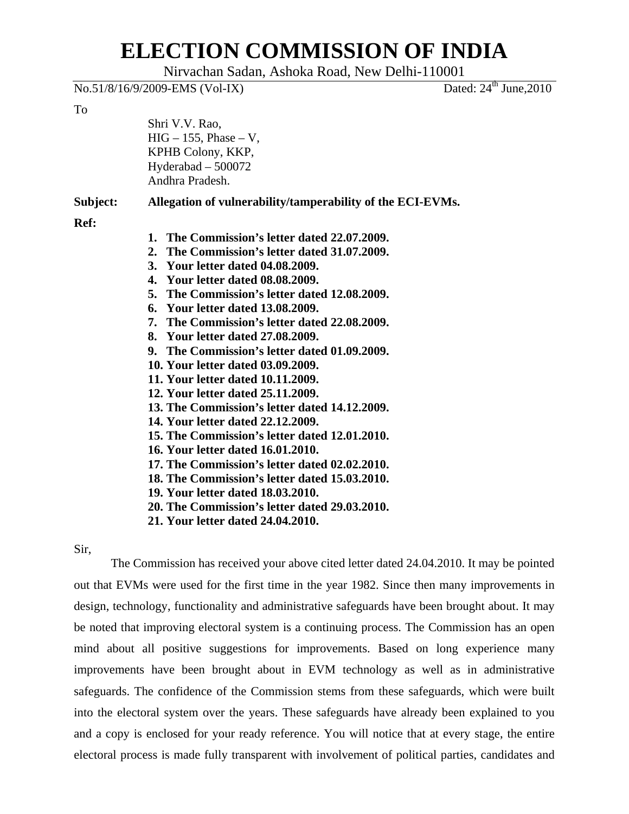## **ELECTION COMMISSION OF INDIA**

Nirvachan Sadan, Ashoka Road, New Delhi-110001

|          | No.51/8/16/9/2009-EMS (Vol-IX)                                                                                                                                                                                                                                                                                                                                                                                                                                                                                                                                                                                                                                                                                                                                                                                                                                                  | Dated: $24^{\text{th}}$ June, $2010$ |
|----------|---------------------------------------------------------------------------------------------------------------------------------------------------------------------------------------------------------------------------------------------------------------------------------------------------------------------------------------------------------------------------------------------------------------------------------------------------------------------------------------------------------------------------------------------------------------------------------------------------------------------------------------------------------------------------------------------------------------------------------------------------------------------------------------------------------------------------------------------------------------------------------|--------------------------------------|
| To       | Shri V.V. Rao,<br>$HIG - 155$ , Phase $- V$ ,<br>KPHB Colony, KKP,<br>Hyderabad $-500072$<br>Andhra Pradesh.                                                                                                                                                                                                                                                                                                                                                                                                                                                                                                                                                                                                                                                                                                                                                                    |                                      |
| Subject: | Allegation of vulnerability/tamperability of the ECI-EVMs.                                                                                                                                                                                                                                                                                                                                                                                                                                                                                                                                                                                                                                                                                                                                                                                                                      |                                      |
| Ref:     | 1. The Commission's letter dated 22.07.2009.<br>2. The Commission's letter dated 31.07.2009.<br>3. Your letter dated 04.08.2009.<br>4. Your letter dated 08.08.2009.<br>5. The Commission's letter dated 12.08.2009.<br>6. Your letter dated 13.08.2009.<br>7. The Commission's letter dated 22.08.2009.<br>8. Your letter dated 27.08.2009.<br>9. The Commission's letter dated 01.09.2009.<br>10. Your letter dated 03.09.2009.<br>11. Your letter dated 10.11.2009.<br>12. Your letter dated 25.11.2009.<br>13. The Commission's letter dated 14.12.2009.<br>14. Your letter dated 22.12.2009.<br>15. The Commission's letter dated 12.01.2010.<br>16. Your letter dated 16.01.2010.<br>17. The Commission's letter dated 02.02.2010.<br>18. The Commission's letter dated 15.03.2010.<br>19. Your letter dated 18.03.2010.<br>20. The Commission's letter dated 29.03.2010. |                                      |

**21. Your letter dated 24.04.2010.** 

Sir,

The Commission has received your above cited letter dated 24.04.2010. It may be pointed out that EVMs were used for the first time in the year 1982. Since then many improvements in design, technology, functionality and administrative safeguards have been brought about. It may be noted that improving electoral system is a continuing process. The Commission has an open mind about all positive suggestions for improvements. Based on long experience many improvements have been brought about in EVM technology as well as in administrative safeguards. The confidence of the Commission stems from these safeguards, which were built into the electoral system over the years. These safeguards have already been explained to you and a copy is enclosed for your ready reference. You will notice that at every stage, the entire electoral process is made fully transparent with involvement of political parties, candidates and